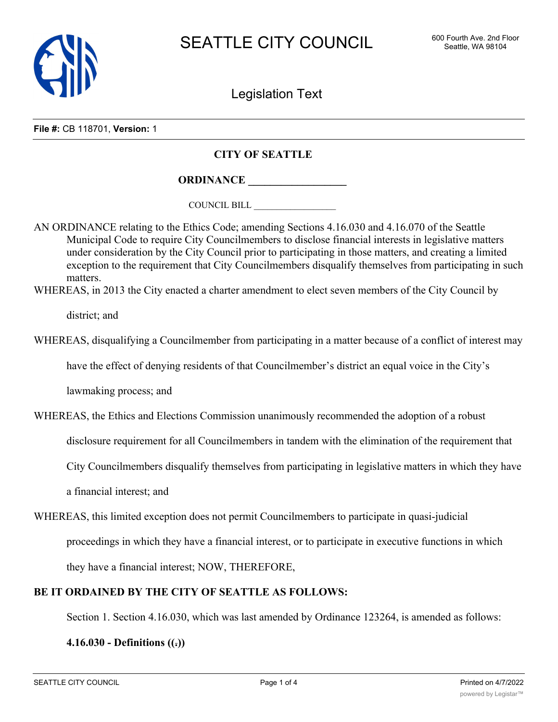

Legislation Text

**File #:** CB 118701, **Version:** 1

## **CITY OF SEATTLE**

**ORDINANCE \_\_\_\_\_\_\_\_\_\_\_\_\_\_\_\_\_\_**

COUNCIL BILL \_\_\_\_\_\_\_\_\_\_\_\_\_\_\_\_\_\_

AN ORDINANCE relating to the Ethics Code; amending Sections 4.16.030 and 4.16.070 of the Seattle Municipal Code to require City Councilmembers to disclose financial interests in legislative matters under consideration by the City Council prior to participating in those matters, and creating a limited exception to the requirement that City Councilmembers disqualify themselves from participating in such matters.

WHEREAS, in 2013 the City enacted a charter amendment to elect seven members of the City Council by

district; and

WHEREAS, disqualifying a Councilmember from participating in a matter because of a conflict of interest may

have the effect of denying residents of that Councilmember's district an equal voice in the City's

lawmaking process; and

WHEREAS, the Ethics and Elections Commission unanimously recommended the adoption of a robust

disclosure requirement for all Councilmembers in tandem with the elimination of the requirement that

City Councilmembers disqualify themselves from participating in legislative matters in which they have

a financial interest; and

WHEREAS, this limited exception does not permit Councilmembers to participate in quasi-judicial proceedings in which they have a financial interest, or to participate in executive functions in which

they have a financial interest; NOW, THEREFORE,

## **BE IT ORDAINED BY THE CITY OF SEATTLE AS FOLLOWS:**

Section 1. Section 4.16.030, which was last amended by Ordinance 123264, is amended as follows:

**4.16.030 - Definitions ((.))**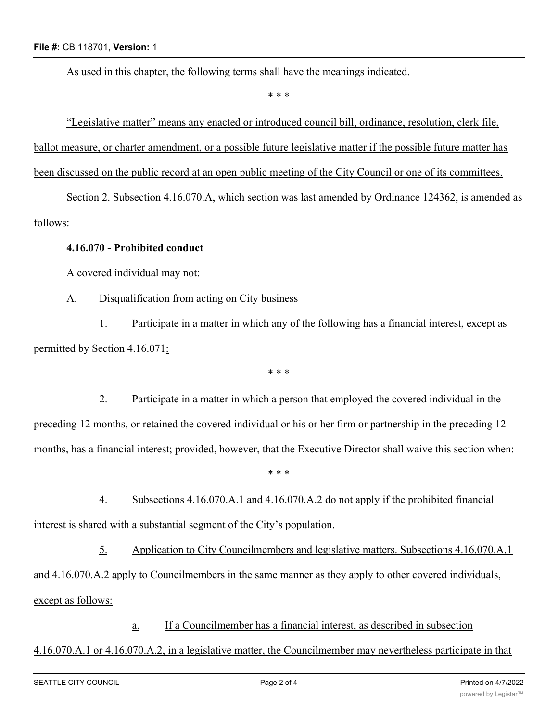As used in this chapter, the following terms shall have the meanings indicated.

\* \* \*

"Legislative matter" means any enacted or introduced council bill, ordinance, resolution, clerk file, ballot measure, or charter amendment, or a possible future legislative matter if the possible future matter has been discussed on the public record at an open public meeting of the City Council or one of its committees.

Section 2. Subsection 4.16.070.A, which section was last amended by Ordinance 124362, is amended as follows:

## **4.16.070 - Prohibited conduct**

A covered individual may not:

A. Disqualification from acting on City business

1. Participate in a matter in which any of the following has a financial interest, except as permitted by Section 4.16.071:

\* \* \*

2. Participate in a matter in which a person that employed the covered individual in the preceding 12 months, or retained the covered individual or his or her firm or partnership in the preceding 12 months, has a financial interest; provided, however, that the Executive Director shall waive this section when:

\* \* \*

4. Subsections 4.16.070.A.1 and 4.16.070.A.2 do not apply if the prohibited financial interest is shared with a substantial segment of the City's population.

5. Application to City Councilmembers and legislative matters. Subsections 4.16.070.A.1 and 4.16.070.A.2 apply to Councilmembers in the same manner as they apply to other covered individuals, except as follows:

a. If a Councilmember has a financial interest, as described in subsection

## 4.16.070.A.1 or 4.16.070.A.2, in a legislative matter, the Councilmember may nevertheless participate in that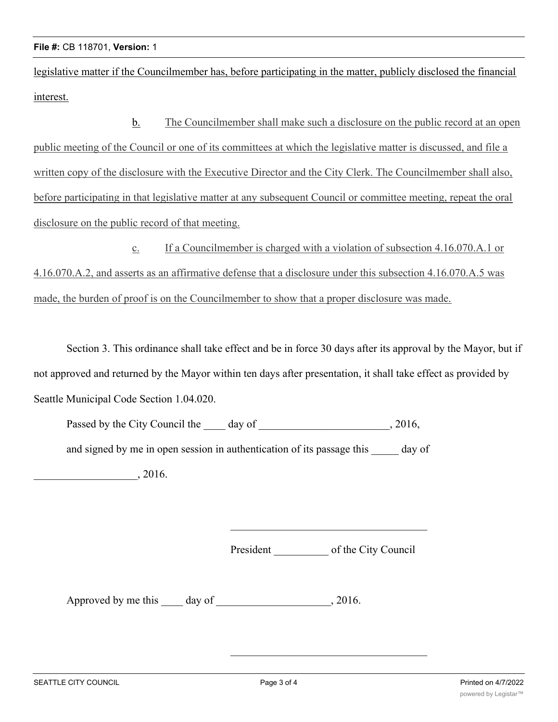legislative matter if the Councilmember has, before participating in the matter, publicly disclosed the financial interest.

b. The Councilmember shall make such a disclosure on the public record at an open public meeting of the Council or one of its committees at which the legislative matter is discussed, and file a written copy of the disclosure with the Executive Director and the City Clerk. The Councilmember shall also, before participating in that legislative matter at any subsequent Council or committee meeting, repeat the oral disclosure on the public record of that meeting.

c. If a Councilmember is charged with a violation of subsection 4.16.070.A.1 or 4.16.070.A.2, and asserts as an affirmative defense that a disclosure under this subsection 4.16.070.A.5 was made, the burden of proof is on the Councilmember to show that a proper disclosure was made.

Section 3. This ordinance shall take effect and be in force 30 days after its approval by the Mayor, but if not approved and returned by the Mayor within ten days after presentation, it shall take effect as provided by Seattle Municipal Code Section 1.04.020.

| Passed by the City Council the<br>day of                               | , 2016, |
|------------------------------------------------------------------------|---------|
| and signed by me in open session in authentication of its passage this | day of  |
| . 2016.                                                                |         |

President of the City Council

Approved by me this day of 3016.